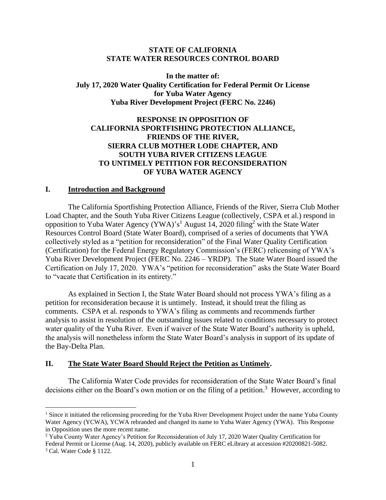#### **STATE OF CALIFORNIA STATE WATER RESOURCES CONTROL BOARD**

**In the matter of: July 17, 2020 Water Quality Certification for Federal Permit Or License for Yuba Water Agency Yuba River Development Project (FERC No. 2246)**

## **RESPONSE IN OPPOSITION OF CALIFORNIA SPORTFISHING PROTECTION ALLIANCE, FRIENDS OF THE RIVER, SIERRA CLUB MOTHER LODE CHAPTER, AND SOUTH YUBA RIVER CITIZENS LEAGUE TO UNTIMELY PETITION FOR RECONSIDERATION OF YUBA WATER AGENCY**

#### **I. Introduction and Background**

The California Sportfishing Protection Alliance, Friends of the River, Sierra Club Mother Load Chapter, and the South Yuba River Citizens League (collectively, CSPA et al.) respond in opposition to Yuba Water Agency (YWA)'s<sup>1</sup> August 14, 2020 filing<sup>2</sup> with the State Water Resources Control Board (State Water Board), comprised of a series of documents that YWA collectively styled as a "petition for reconsideration" of the Final Water Quality Certification (Certification) for the Federal Energy Regulatory Commission's (FERC) relicensing of YWA's Yuba River Development Project (FERC No. 2246 – YRDP). The State Water Board issued the Certification on July 17, 2020. YWA's "petition for reconsideration" asks the State Water Board to "vacate that Certification in its entirety."

As explained in Section I, the State Water Board should not process YWA's filing as a petition for reconsideration because it is untimely. Instead, it should treat the filing as comments. CSPA et al. responds to YWA's filing as comments and recommends further analysis to assist in resolution of the outstanding issues related to conditions necessary to protect water quality of the Yuba River. Even if waiver of the State Water Board's authority is upheld, the analysis will nonetheless inform the State Water Board's analysis in support of its update of the Bay-Delta Plan.

#### **II. The State Water Board Should Reject the Petition as Untimely.**

The California Water Code provides for reconsideration of the State Water Board's final decisions either on the Board's own motion or on the filing of a petition.<sup>3</sup> However, according to

<sup>&</sup>lt;sup>1</sup> Since it initiated the relicensing proceeding for the Yuba River Development Project under the name Yuba County Water Agency (YCWA), YCWA rebranded and changed its name to Yuba Water Agency (YWA). This Response in Opposition uses the more recent name.

<sup>2</sup> Yuba County Water Agency's Petition for Reconsideration of July 17, 2020 Water Quality Certification for Federal Permit or License (Aug. 14, 2020), publicly available on FERC eLibrary at accession #20200821-5082. <sup>3</sup> Cal. Water Code § 1122.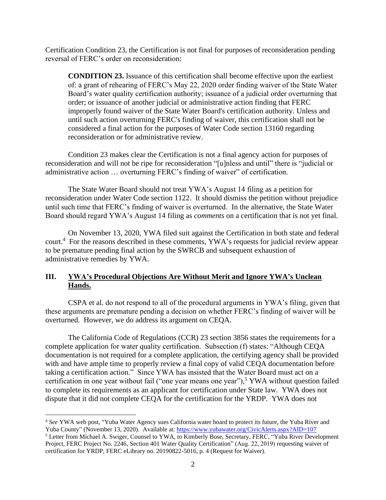Certification Condition 23, the Certification is not final for purposes of reconsideration pending reversal of FERC's order on reconsideration:

**CONDITION 23.** Issuance of this certification shall become effective upon the earliest of: a grant of rehearing of FERC's May 22, 2020 order finding waiver of the State Water Board's water quality certification authority; issuance of a judicial order overturning that order; or issuance of another judicial or administrative action finding that FERC improperly found waiver of the State Water Board's certification authority. Unless and until such action overturning FERC's finding of waiver, this certification shall not be considered a final action for the purposes of Water Code section 13160 regarding reconsideration or for administrative review.

Condition 23 makes clear the Certification is not a final agency action for purposes of reconsideration and will not be ripe for reconsideration "[u]nless and until" there is "judicial or administrative action … overturning FERC's finding of waiver" of certification.

The State Water Board should not treat YWA's August 14 filing as a petition for reconsideration under Water Code section 1122. It should dismiss the petition without prejudice until such time that FERC's finding of waiver is overturned. In the alternative, the State Water Board should regard YWA's August 14 filing as *comments* on a certification that is not yet final.

On November 13, 2020, YWA filed suit against the Certification in both state and federal court.<sup>4</sup> For the reasons described in these comments, YWA's requests for judicial review appear to be premature pending final action by the SWRCB and subsequent exhaustion of administrative remedies by YWA.

### **III. YWA's Procedural Objections Are Without Merit and Ignore YWA's Unclean Hands.**

CSPA et al. do not respond to all of the procedural arguments in YWA's filing, given that these arguments are premature pending a decision on whether FERC's finding of waiver will be overturned. However, we do address its argument on CEQA.

The California Code of Regulations (CCR) 23 section 3856 states the requirements for a complete application for water quality certification. Subsection (f) states: "Although CEQA documentation is not required for a complete application, the certifying agency shall be provided with and have ample time to properly review a final copy of valid CEQA documentation before taking a certification action." Since YWA has insisted that the Water Board must act on a certification in one year without fail ("one year means one year"),<sup>5</sup> YWA without question failed to complete its requirements as an applicant for certification under State law. YWA does not dispute that it did not complete CEQA for the certification for the YRDP. YWA does not

<sup>4</sup> *See* YWA web post, "Yuba Water Agency sues California water board to protect its future, the Yuba River and Yuba County" (November 13, 2020). Available at:<https://www.yubawater.org/CivicAlerts.aspx?AID=107>

<sup>5</sup> Letter from Michael A. Swiger, Counsel to YWA, to Kimberly Bose, Secretary, FERC, "Yuba River Development Project, FERC Project No. 2246, Section 401 Water Quality Certification" (Aug. 22, 2019) requesting waiver of certification for YRDP, FERC eLibrary no. 20190822-5016, p. 4 (Request for Waiver).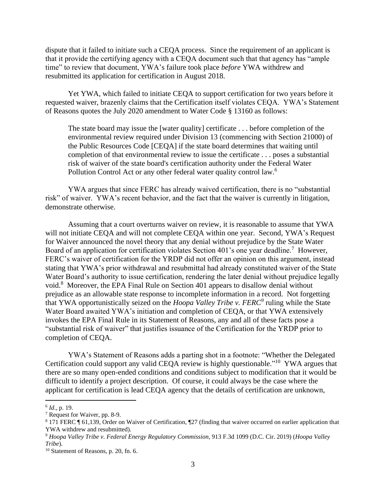dispute that it failed to initiate such a CEQA process. Since the requirement of an applicant is that it provide the certifying agency with a CEQA document such that that agency has "ample time" to review that document, YWA's failure took place *before* YWA withdrew and resubmitted its application for certification in August 2018.

Yet YWA, which failed to initiate CEQA to support certification for two years before it requested waiver, brazenly claims that the Certification itself violates CEQA. YWA's Statement of Reasons quotes the July 2020 amendment to Water Code § 13160 as follows:

The state board may issue the [water quality] certificate . . . before completion of the environmental review required under Division 13 (commencing with Section 21000) of the Public Resources Code [CEQA] if the state board determines that waiting until completion of that environmental review to issue the certificate . . . poses a substantial risk of waiver of the state board's certification authority under the Federal Water Pollution Control Act or any other federal water quality control law.<sup>6</sup>

YWA argues that since FERC has already waived certification, there is no "substantial risk" of waiver. YWA's recent behavior, and the fact that the waiver is currently in litigation, demonstrate otherwise.

Assuming that a court overturns waiver on review, it is reasonable to assume that YWA will not initiate CEQA and will not complete CEQA within one year. Second, YWA's Request for Waiver announced the novel theory that any denial without prejudice by the State Water Board of an application for certification violates Section 401's one year deadline.<sup>7</sup> However, FERC's waiver of certification for the YRDP did not offer an opinion on this argument, instead stating that YWA's prior withdrawal and resubmittal had already constituted waiver of the State Water Board's authority to issue certification, rendering the later denial without prejudice legally void.<sup>8</sup> Moreover, the EPA Final Rule on Section 401 appears to disallow denial without prejudice as an allowable state response to incomplete information in a record. Not forgetting that YWA opportunistically seized on the *Hoopa Valley Tribe v. FERC<sup>9</sup>* ruling while the State Water Board awaited YWA's initiation and completion of CEQA, or that YWA extensively invokes the EPA Final Rule in its Statement of Reasons, any and all of these facts pose a "substantial risk of waiver" that justifies issuance of the Certification for the YRDP prior to completion of CEQA.

YWA's Statement of Reasons adds a parting shot in a footnote: "Whether the Delegated Certification could support any valid CEQA review is highly questionable."<sup>10</sup> YWA argues that there are so many open-ended conditions and conditions subject to modification that it would be difficult to identify a project description. Of course, it could always be the case where the applicant for certification is lead CEQA agency that the details of certification are unknown,

<sup>6</sup> *Id*., p. 19.

<sup>7</sup> Request for Waiver, pp. 8-9.

<sup>8</sup> 171 FERC ¶ 61,139, Order on Waiver of Certification, ¶27 (finding that waiver occurred on earlier application that YWA withdrew and resubmitted).

<sup>9</sup> *Hoopa Valley Tribe v. Federal Energy Regulatory Commission,* 913 F.3d 1099 (D.C. Cir. 2019) (*Hoopa Valley Tribe*).

<sup>10</sup> Statement of Reasons, p. 20, fn. 6.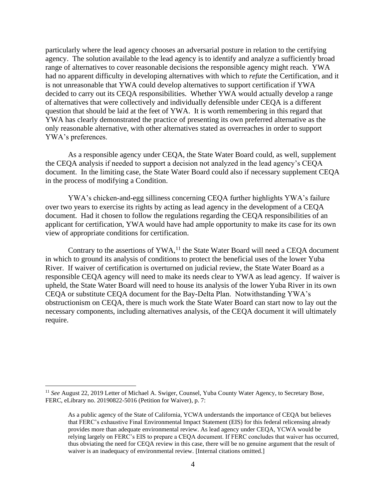particularly where the lead agency chooses an adversarial posture in relation to the certifying agency. The solution available to the lead agency is to identify and analyze a sufficiently broad range of alternatives to cover reasonable decisions the responsible agency might reach. YWA had no apparent difficulty in developing alternatives with which to *refute* the Certification, and it is not unreasonable that YWA could develop alternatives to support certification if YWA decided to carry out its CEQA responsibilities. Whether YWA would actually develop a range of alternatives that were collectively and individually defensible under CEQA is a different question that should be laid at the feet of YWA. It is worth remembering in this regard that YWA has clearly demonstrated the practice of presenting its own preferred alternative as the only reasonable alternative, with other alternatives stated as overreaches in order to support YWA's preferences.

As a responsible agency under CEQA, the State Water Board could, as well, supplement the CEQA analysis if needed to support a decision not analyzed in the lead agency's CEQA document. In the limiting case, the State Water Board could also if necessary supplement CEQA in the process of modifying a Condition.

YWA's chicken-and-egg silliness concerning CEQA further highlights YWA's failure over two years to exercise its rights by acting as lead agency in the development of a CEQA document. Had it chosen to follow the regulations regarding the CEQA responsibilities of an applicant for certification, YWA would have had ample opportunity to make its case for its own view of appropriate conditions for certification.

Contrary to the assertions of  $YWA$ <sup>11</sup>, the State Water Board will need a CEQA document in which to ground its analysis of conditions to protect the beneficial uses of the lower Yuba River. If waiver of certification is overturned on judicial review, the State Water Board as a responsible CEQA agency will need to make its needs clear to YWA as lead agency. If waiver is upheld, the State Water Board will need to house its analysis of the lower Yuba River in its own CEQA or substitute CEQA document for the Bay-Delta Plan. Notwithstanding YWA's obstructionism on CEQA, there is much work the State Water Board can start now to lay out the necessary components, including alternatives analysis, of the CEQA document it will ultimately require.

<sup>&</sup>lt;sup>11</sup> See August 22, 2019 Letter of Michael A. Swiger, Counsel, Yuba County Water Agency, to Secretary Bose, FERC, eLibrary no. 20190822-5016 (Petition for Waiver), p. 7:

As a public agency of the State of California, YCWA understands the importance of CEQA but believes that FERC's exhaustive Final Environmental Impact Statement (EIS) for this federal relicensing already provides more than adequate environmental review. As lead agency under CEQA, YCWA would be relying largely on FERC's EIS to prepare a CEQA document. If FERC concludes that waiver has occurred, thus obviating the need for CEQA review in this case, there will be no genuine argument that the result of waiver is an inadequacy of environmental review. [Internal citations omitted.]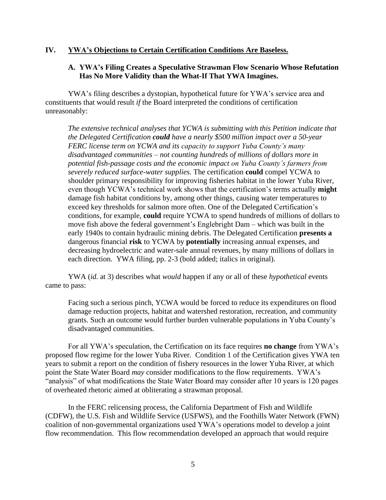### **IV. YWA's Objections to Certain Certification Conditions Are Baseless.**

### **A. YWA's Filing Creates a Speculative Strawman Flow Scenario Whose Refutation Has No More Validity than the What-If That YWA Imagines.**

YWA's filing describes a dystopian, hypothetical future for YWA's service area and constituents that would result *if* the Board interpreted the conditions of certification unreasonably:

*The extensive technical analyses that YCWA is submitting with this Petition indicate that the Delegated Certification could have a nearly \$500 million impact over a 50-year FERC license term on YCWA and its capacity to support Yuba County's many disadvantaged communities – not counting hundreds of millions of dollars more in potential fish-passage costs and the economic impact on Yuba County's farmers from severely reduced surface-water supplies.* The certification **could** compel YCWA to shoulder primary responsibility for improving fisheries habitat in the lower Yuba River, even though YCWA's technical work shows that the certification's terms actually **might** damage fish habitat conditions by, among other things, causing water temperatures to exceed key thresholds for salmon more often. One of the Delegated Certification's conditions, for example, **could** require YCWA to spend hundreds of millions of dollars to move fish above the federal government's Englebright Dam – which was built in the early 1940s to contain hydraulic mining debris. The Delegated Certification **presents a** dangerous financial **risk** to YCWA by **potentially** increasing annual expenses, and decreasing hydroelectric and water-sale annual revenues, by many millions of dollars in each direction. YWA filing, pp. 2-3 (bold added; italics in original).

YWA (*id.* at 3) describes what *would* happen if any or all of these *hypothetical* events came to pass:

Facing such a serious pinch, YCWA would be forced to reduce its expenditures on flood damage reduction projects, habitat and watershed restoration, recreation, and community grants. Such an outcome would further burden vulnerable populations in Yuba County's disadvantaged communities.

For all YWA's speculation, the Certification on its face requires **no change** from YWA's proposed flow regime for the lower Yuba River. Condition 1 of the Certification gives YWA ten years to submit a report on the condition of fishery resources in the lower Yuba River, at which point the State Water Board *may* consider modifications to the flow requirements. YWA's "analysis" of what modifications the State Water Board may consider after 10 years is 120 pages of overheated rhetoric aimed at obliterating a strawman proposal.

In the FERC relicensing process, the California Department of Fish and Wildlife (CDFW), the U.S. Fish and Wildlife Service (USFWS), and the Foothills Water Network (FWN) coalition of non-governmental organizations used YWA's operations model to develop a joint flow recommendation. This flow recommendation developed an approach that would require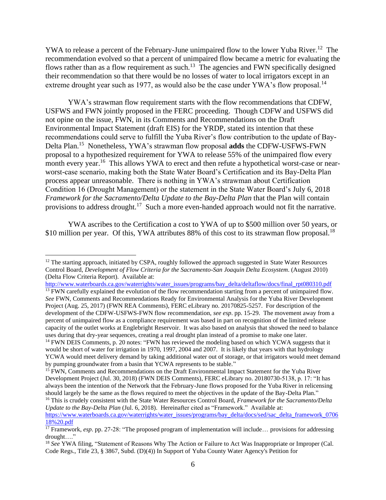YWA to release a percent of the February-June unimpaired flow to the lower Yuba River.<sup>12</sup> The recommendation evolved so that a percent of unimpaired flow became a metric for evaluating the flows rather than as a flow requirement as such.<sup>13</sup> The agencies and FWN specifically designed their recommendation so that there would be no losses of water to local irrigators except in an extreme drought year such as 1977, as would also be the case under YWA's flow proposal.<sup>14</sup>

YWA's strawman flow requirement starts with the flow recommendations that CDFW, USFWS and FWN jointly proposed in the FERC proceeding. Though CDFW and USFWS did not opine on the issue, FWN, in its Comments and Recommendations on the Draft Environmental Impact Statement (draft EIS) for the YRDP, stated its intention that these recommendations could serve to fulfill the Yuba River's flow contribution to the update of Bay-Delta Plan.<sup>15</sup> Nonetheless, YWA's strawman flow proposal **adds** the CDFW-USFWS-FWN proposal to a hypothesized requirement for YWA to release 55% of the unimpaired flow every month every year.<sup>16</sup> This allows YWA to erect and then refute a hypothetical worst-case or nearworst-case scenario, making both the State Water Board's Certification and its Bay-Delta Plan process appear unreasonable. There is nothing in YWA's strawman about Certification Condition 16 (Drought Management) or the statement in the State Water Board's July 6, 2018 *Framework for the Sacramento/Delta Update to the Bay-Delta Plan* that the Plan will contain provisions to address drought.<sup>17</sup> Such a more even-handed approach would not fit the narrative.

YWA ascribes to the Certification a cost to YWA of up to \$500 million over 50 years, or \$10 million per year. Of this, YWA attributes 88% of this cost to its strawman flow proposal.<sup>18</sup>

[http://www.waterboards.ca.gov/waterrights/water\\_issues/programs/bay\\_delta/deltaflow/docs/final\\_rpt080310.pdf](http://www.waterboards.ca.gov/waterrights/water_issues/programs/bay_delta/deltaflow/docs/final_rpt080310.pdf)

<sup>13</sup> FWN carefully explained the evolution of the flow recommendation starting from a percent of unimpaired flow. *See* FWN, Comments and Recommendations Ready for Environmental Analysis for the Yuba River Development Project (Aug. 25, 2017) (FWN REA Comments), FERC eLibrary no. 20170825-5257. For description of the development of the CDFW-USFWS-FWN flow recommendation, *see esp*. pp. 15-29. The movement away from a percent of unimpaired flow as a compliance requirement was based in part on recognition of the limited release capacity of the outlet works at Englebright Reservoir. It was also based on analysis that showed the need to balance uses during that dry-year sequences, creating a real drought plan instead of a promise to make one later. <sup>14</sup> FWN DEIS Comments, p. 20 notes: "FWN has reviewed the modeling based on which YCWA suggests that it would be short of water for irrigation in 1970, 1997, 2004 and 2007. It is likely that years with that hydrology YCWA would meet delivery demand by taking additional water out of storage, or that irrigators would meet demand by pumping groundwater from a basin that YCWA represents to be stable."

*Update to the Bay-Delta Plan* (Jul. 6, 2018). Hereinafter cited as "Framework." Available at: [https://www.waterboards.ca.gov/waterrights/water\\_issues/programs/bay\\_delta/docs/sed/sac\\_delta\\_framework\\_0706](https://www.waterboards.ca.gov/waterrights/water_issues/programs/bay_delta/docs/sed/sac_delta_framework_070618%20.pdf) [18%20.pdf](https://www.waterboards.ca.gov/waterrights/water_issues/programs/bay_delta/docs/sed/sac_delta_framework_070618%20.pdf)

<sup>&</sup>lt;sup>12</sup> The starting approach, initiated by CSPA, roughly followed the approach suggested in State Water Resources Control Board, *Development of Flow Criteria for the Sacramento-San Joaquin Delta Ecosystem*. (August 2010) (Delta Flow Criteria Report). Available at:

<sup>&</sup>lt;sup>15</sup> FWN, Comments and Recommendations on the Draft Environmental Impact Statement for the Yuba River Development Project (Jul. 30, 2018) (FWN DEIS Comments), FERC eLibrary no. 20180730-5138, p. 17: "It has always been the intention of the Network that the February-June flows proposed for the Yuba River in relicensing should largely be the same as the flows required to meet the objectives in the update of the Bay-Delta Plan." <sup>16</sup> This is crudely consistent with the State Water Resources Control Board, *Framework for the Sacramento/Delta* 

<sup>17</sup> Framework, *esp*. pp. 27-28: "The proposed program of implementation will include… provisions for addressing drought…."

<sup>&</sup>lt;sup>18</sup> See YWA filing, "Statement of Reasons Why The Action or Failure to Act Was Inappropriate or Improper (Cal. Code Regs., Title 23, § 3867, Subd. (D)(4)) In Support of Yuba County Water Agency's Petition for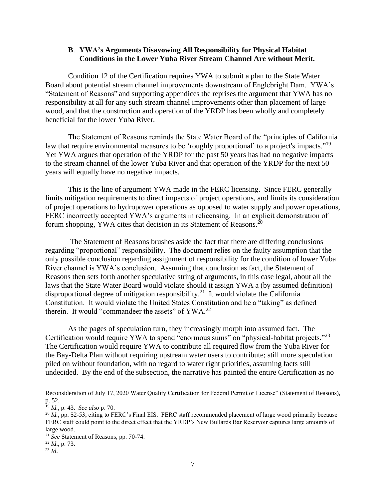#### **B**. **YWA's Arguments Disavowing All Responsibility for Physical Habitat Conditions in the Lower Yuba River Stream Channel Are without Merit.**

Condition 12 of the Certification requires YWA to submit a plan to the State Water Board about potential stream channel improvements downstream of Englebright Dam. YWA's "Statement of Reasons" and supporting appendices the reprises the argument that YWA has no responsibility at all for any such stream channel improvements other than placement of large wood, and that the construction and operation of the YRDP has been wholly and completely beneficial for the lower Yuba River.

The Statement of Reasons reminds the State Water Board of the "principles of California law that require environmental measures to be 'roughly proportional' to a project's impacts."<sup>19</sup> Yet YWA argues that operation of the YRDP for the past 50 years has had no negative impacts to the stream channel of the lower Yuba River and that operation of the YRDP for the next 50 years will equally have no negative impacts.

This is the line of argument YWA made in the FERC licensing. Since FERC generally limits mitigation requirements to direct impacts of project operations, and limits its consideration of project operations to hydropower operations as opposed to water supply and power operations, FERC incorrectly accepted YWA's arguments in relicensing. In an explicit demonstration of forum shopping, YWA cites that decision in its Statement of Reasons.<sup>20</sup>

The Statement of Reasons brushes aside the fact that there are differing conclusions regarding "proportional" responsibility. The document relies on the faulty assumption that the only possible conclusion regarding assignment of responsibility for the condition of lower Yuba River channel is YWA's conclusion. Assuming that conclusion as fact, the Statement of Reasons then sets forth another speculative string of arguments, in this case legal, about all the laws that the State Water Board would violate should it assign YWA a (by assumed definition) disproportional degree of mitigation responsibility.<sup>21</sup> It would violate the California Constitution. It would violate the United States Constitution and be a "taking" as defined therein. It would "commandeer the assets" of YWA.<sup>22</sup>

As the pages of speculation turn, they increasingly morph into assumed fact. The Certification would require YWA to spend "enormous sums" on "physical-habitat projects."<sup>23</sup> The Certification would require YWA to contribute all required flow from the Yuba River for the Bay-Delta Plan without requiring upstream water users to contribute; still more speculation piled on without foundation, with no regard to water right priorities, assuming facts still undecided. By the end of the subsection, the narrative has painted the entire Certification as no

Reconsideration of July 17, 2020 Water Quality Certification for Federal Permit or License" (Statement of Reasons), p. 52.

<sup>19</sup> *Id.*, p. 43. *See also* p. 70.

<sup>&</sup>lt;sup>20</sup> *Id.*, pp. 52-53, citing to FERC's Final EIS. FERC staff recommended placement of large wood primarily because FERC staff could point to the direct effect that the YRDP's New Bullards Bar Reservoir captures large amounts of large wood.

<sup>21</sup> *See* Statement of Reasons, pp. 70-74.

<sup>22</sup> *Id*., p. 73.

<sup>23</sup> *Id*.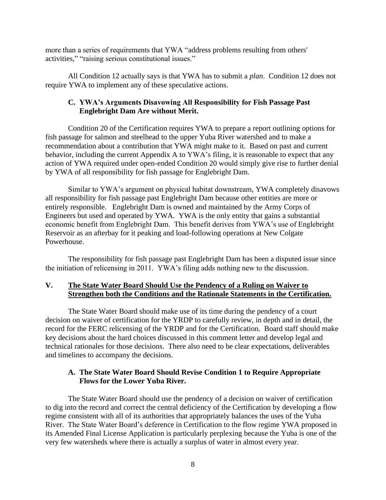more than a series of requirements that YWA "address problems resulting from others' activities," "raising serious constitutional issues."

All Condition 12 actually says is that YWA has to submit a *plan*. Condition 12 does not require YWA to implement any of these speculative actions.

### **C. YWA's Arguments Disavowing All Responsibility for Fish Passage Past Englebright Dam Are without Merit.**

Condition 20 of the Certification requires YWA to prepare a report outlining options for fish passage for salmon and steelhead to the upper Yuba River watershed and to make a recommendation about a contribution that YWA might make to it. Based on past and current behavior, including the current Appendix A to YWA's filing, it is reasonable to expect that any action of YWA required under open-ended Condition 20 would simply give rise to further denial by YWA of all responsibility for fish passage for Englebright Dam.

Similar to YWA's argument on physical habitat downstream, YWA completely disavows all responsibility for fish passage past Englebright Dam because other entities are more or entirely responsible. Englebright Dam is owned and maintained by the Army Corps of Engineers but used and operated by YWA. YWA is the only entity that gains a substantial economic benefit from Englebright Dam. This benefit derives from YWA's use of Englebright Reservoir as an afterbay for it peaking and load-following operations at New Colgate Powerhouse.

The responsibility for fish passage past Englebright Dam has been a disputed issue since the initiation of relicensing in 2011. YWA's filing adds nothing new to the discussion.

## **V. The State Water Board Should Use the Pendency of a Ruling on Waiver to Strengthen both the Conditions and the Rationale Statements in the Certification.**

The State Water Board should make use of its time during the pendency of a court decision on waiver of certification for the YRDP to carefully review, in depth and in detail, the record for the FERC relicensing of the YRDP and for the Certification. Board staff should make key decisions about the hard choices discussed in this comment letter and develop legal and technical rationales for those decisions. There also need to be clear expectations, deliverables and timelines to accompany the decisions.

## **A. The State Water Board Should Revise Condition 1 to Require Appropriate Flows for the Lower Yuba River.**

The State Water Board should use the pendency of a decision on waiver of certification to dig into the record and correct the central deficiency of the Certification by developing a flow regime consistent with all of its authorities that appropriately balances the uses of the Yuba River. The State Water Board's deference in Certification to the flow regime YWA proposed in its Amended Final License Application is particularly perplexing because the Yuba is one of the very few watersheds where there is actually a surplus of water in almost every year.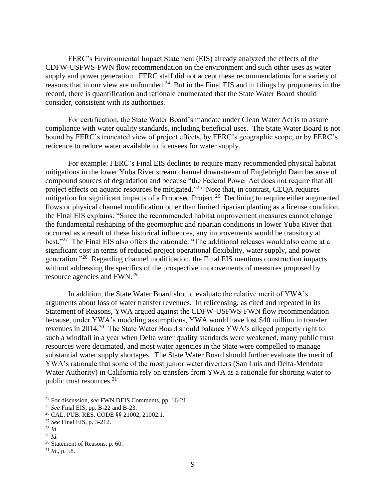FERC's Environmental Impact Statement (EIS) already analyzed the effects of the CDFW-USFWS-FWN flow recommendation on the environment and such other uses as water supply and power generation. FERC staff did not accept these recommendations for a variety of reasons that in our view are unfounded. $24$  But in the Final EIS and in filings by proponents in the record, there is quantification and rationale enumerated that the State Water Board should consider, consistent with its authorities.

For certification, the State Water Board's mandate under Clean Water Act is to assure compliance with water quality standards, including beneficial uses. The State Water Board is not bound by FERC's truncated view of project effects, by FERC's geographic scope, or by FERC's reticence to reduce water available to licensees for water supply.

For example: FERC's Final EIS declines to require many recommended physical habitat mitigations in the lower Yuba River stream channel downstream of Englebright Dam because of compound sources of degradation and because "the Federal Power Act does not require that all project effects on aquatic resources be mitigated."<sup>25</sup> Note that, in contrast, CEQA requires mitigation for significant impacts of a Proposed Project.<sup>26</sup> Declining to require either augmented flows or physical channel modification other than limited riparian planting as a license condition, the Final EIS explains: "Since the recommended habitat improvement measures cannot change the fundamental reshaping of the geomorphic and riparian conditions in lower Yuba River that occurred as a result of these historical influences, any improvements would be transitory at best."<sup>27</sup> The Final EIS also offers the rationale: "The additional releases would also come at a significant cost in terms of reduced project operational flexibility, water supply, and power generation."<sup>28</sup> Regarding channel modification, the Final EIS mentions construction impacts without addressing the specifics of the prospective improvements of measures proposed by resource agencies and FWN.<sup>29</sup>

In addition, the State Water Board should evaluate the relative merit of YWA's arguments about loss of water transfer revenues. In relicensing, as cited and repeated in its Statement of Reasons, YWA argued against the CDFW-USFWS-FWN flow recommendation because, under YWA's modeling assumptions, YWA would have lost \$40 million in transfer revenues in 2014.<sup>30</sup> The State Water Board should balance YWA's alleged property right to such a windfall in a year when Delta water quality standards were weakened, many public trust resources were decimated, and most water agencies in the State were compelled to manage substantial water supply shortages. The State Water Board should further evaluate the merit of YWA's rationale that some of the most junior water diverters (San Luis and Delta-Mendota Water Authority) in California rely on transfers from YWA as a rationale for shorting water to public trust resources.<sup>31</sup>

<sup>24</sup> For discussion, *see* FWN DEIS Comments, pp. 16-21.

<sup>25</sup> *See* Final EIS, pp. B-22 and B-23.

<sup>26</sup> CAL. PUB. RES. CODE §§ 21002, 21002.1.

<sup>27</sup> *See* Final EIS, p. 3-212.

 $^{28}$  *Id*.

<sup>29</sup> *Id.*

<sup>30</sup> Statement of Reasons, p. 60.

<sup>31</sup> *Id*., p. 58.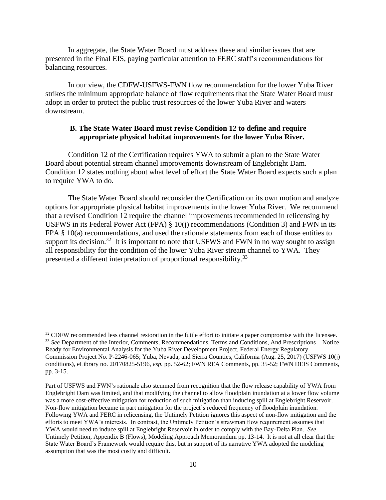In aggregate, the State Water Board must address these and similar issues that are presented in the Final EIS, paying particular attention to FERC staff's recommendations for balancing resources.

In our view, the CDFW-USFWS-FWN flow recommendation for the lower Yuba River strikes the minimum appropriate balance of flow requirements that the State Water Board must adopt in order to protect the public trust resources of the lower Yuba River and waters downstream.

#### **B. The State Water Board must revise Condition 12 to define and require appropriate physical habitat improvements for the lower Yuba River.**

Condition 12 of the Certification requires YWA to submit a plan to the State Water Board about potential stream channel improvements downstream of Englebright Dam. Condition 12 states nothing about what level of effort the State Water Board expects such a plan to require YWA to do.

The State Water Board should reconsider the Certification on its own motion and analyze options for appropriate physical habitat improvements in the lower Yuba River. We recommend that a revised Condition 12 require the channel improvements recommended in relicensing by USFWS in its Federal Power Act (FPA) § 10(j) recommendations (Condition 3) and FWN in its FPA § 10(a) recommendations, and used the rationale statements from each of those entities to support its decision.<sup>32</sup> It is important to note that USFWS and FWN in no way sought to assign all responsibility for the condition of the lower Yuba River stream channel to YWA. They presented a different interpretation of proportional responsibility.<sup>33</sup>

<sup>&</sup>lt;sup>32</sup> CDFW recommended less channel restoration in the futile effort to initiate a paper compromise with the licensee. <sup>33</sup> *See* Department of the Interior, Comments, Recommendations, Terms and Conditions, And Prescriptions – Notice Ready for Environmental Analysis for the Yuba River Development Project, Federal Energy Regulatory Commission Project No. P-2246-065; Yuba, Nevada, and Sierra Counties, California (Aug. 25, 2017) (USFWS 10(j) conditions), eLibrary no. 20170825-5196, *esp.* pp. 52-62; FWN REA Comments, pp. 35-52; FWN DEIS Comments, pp. 3-15.

Part of USFWS and FWN's rationale also stemmed from recognition that the flow release capability of YWA from Englebright Dam was limited, and that modifying the channel to allow floodplain inundation at a lower flow volume was a more cost-effective mitigation for reduction of such mitigation than inducing spill at Englebright Reservoir. Non-flow mitigation became in part mitigation for the project's reduced frequency of floodplain inundation. Following YWA and FERC in relicensing, the Untimely Petition ignores this aspect of non-flow mitigation and the efforts to meet YWA's interests. In contrast, the Untimely Petition's strawman flow requirement assumes that YWA would need to induce spill at Englebright Reservoir in order to comply with the Bay-Delta Plan. *See* Untimely Petition, Appendix B (Flows), Modeling Approach Memorandum pp. 13-14. It is not at all clear that the State Water Board's Framework would require this, but in support of its narrative YWA adopted the modeling assumption that was the most costly and difficult.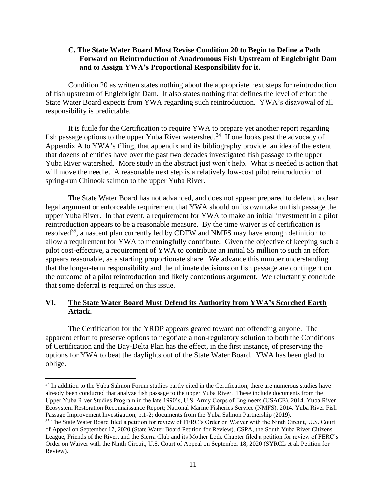### **C. The State Water Board Must Revise Condition 20 to Begin to Define a Path Forward on Reintroduction of Anadromous Fish Upstream of Englebright Dam and to Assign YWA's Proportional Responsibility for it.**

Condition 20 as written states nothing about the appropriate next steps for reintroduction of fish upstream of Englebright Dam. It also states nothing that defines the level of effort the State Water Board expects from YWA regarding such reintroduction. YWA's disavowal of all responsibility is predictable.

It is futile for the Certification to require YWA to prepare yet another report regarding fish passage options to the upper Yuba River watershed.<sup>34</sup> If one looks past the advocacy of Appendix A to YWA's filing, that appendix and its bibliography provide an idea of the extent that dozens of entities have over the past two decades investigated fish passage to the upper Yuba River watershed. More study in the abstract just won't help. What is needed is action that will move the needle. A reasonable next step is a relatively low-cost pilot reintroduction of spring-run Chinook salmon to the upper Yuba River.

The State Water Board has not advanced, and does not appear prepared to defend, a clear legal argument or enforceable requirement that YWA should on its own take on fish passage the upper Yuba River. In that event, a requirement for YWA to make an initial investment in a pilot reintroduction appears to be a reasonable measure. By the time waiver is of certification is resolved<sup>35</sup>, a nascent plan currently led by CDFW and NMFS may have enough definition to allow a requirement for YWA to meaningfully contribute. Given the objective of keeping such a pilot cost-effective, a requirement of YWA to contribute an initial \$5 million to such an effort appears reasonable, as a starting proportionate share. We advance this number understanding that the longer-term responsibility and the ultimate decisions on fish passage are contingent on the outcome of a pilot reintroduction and likely contentious argument. We reluctantly conclude that some deferral is required on this issue.

### **VI. The State Water Board Must Defend its Authority from YWA's Scorched Earth Attack.**

The Certification for the YRDP appears geared toward not offending anyone. The apparent effort to preserve options to negotiate a non-regulatory solution to both the Conditions of Certification and the Bay-Delta Plan has the effect, in the first instance, of preserving the options for YWA to beat the daylights out of the State Water Board. YWA has been glad to oblige.

<sup>&</sup>lt;sup>34</sup> In addition to the Yuba Salmon Forum studies partly cited in the Certification, there are numerous studies have already been conducted that analyze fish passage to the upper Yuba River. These include documents from the Upper Yuba River Studies Program in the late 1990's, U.S. Army Corps of Engineers (USACE). 2014. Yuba River Ecosystem Restoration Reconnaissance Report; National Marine Fisheries Service (NMFS). 2014. Yuba River Fish Passage Improvement Investigation, p.1-2; documents from the Yuba Salmon Partnership (2019).

<sup>&</sup>lt;sup>35</sup> The State Water Board filed a petition for review of FERC's Order on Waiver with the Ninth Circuit, U.S. Court of Appeal on September 17, 2020 (State Water Board Petition for Review). CSPA, the South Yuba River Citizens League, Friends of the River, and the Sierra Club and its Mother Lode Chapter filed a petition for review of FERC's Order on Waiver with the Ninth Circuit, U.S. Court of Appeal on September 18, 2020 (SYRCL et al. Petition for Review).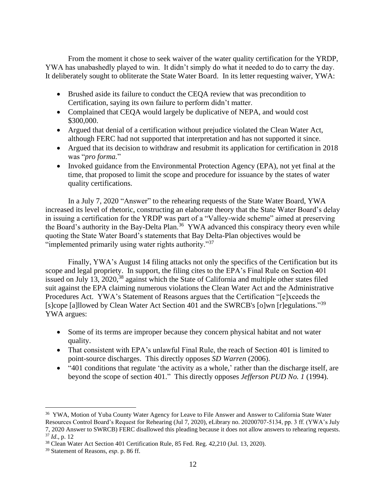From the moment it chose to seek waiver of the water quality certification for the YRDP, YWA has unabashedly played to win. It didn't simply do what it needed to do to carry the day. It deliberately sought to obliterate the State Water Board. In its letter requesting waiver, YWA:

- Brushed aside its failure to conduct the CEQA review that was precondition to Certification, saying its own failure to perform didn't matter.
- Complained that CEQA would largely be duplicative of NEPA, and would cost \$300,000.
- Argued that denial of a certification without prejudice violated the Clean Water Act, although FERC had not supported that interpretation and has not supported it since.
- Argued that its decision to withdraw and resubmit its application for certification in 2018 was "*pro forma.*"
- Invoked guidance from the Environmental Protection Agency (EPA), not yet final at the time, that proposed to limit the scope and procedure for issuance by the states of water quality certifications.

In a July 7, 2020 "Answer" to the rehearing requests of the State Water Board, YWA increased its level of rhetoric, constructing an elaborate theory that the State Water Board's delay in issuing a certification for the YRDP was part of a "Valley-wide scheme" aimed at preserving the Board's authority in the Bay-Delta Plan.<sup>36</sup> YWA advanced this conspiracy theory even while quoting the State Water Board's statements that Bay Delta-Plan objectives would be "implemented primarily using water rights authority."<sup>37</sup>

Finally, YWA's August 14 filing attacks not only the specifics of the Certification but its scope and legal propriety. In support, the filing cites to the EPA's Final Rule on Section 401 issued on July 13,  $2020$ <sup>38</sup> against which the State of California and multiple other states filed suit against the EPA claiming numerous violations the Clean Water Act and the Administrative Procedures Act. YWA's Statement of Reasons argues that the Certification "[e]xceeds the [s]cope [a]llowed by Clean Water Act Section 401 and the SWRCB's [o]wn [r]egulations."<sup>39</sup> YWA argues:

- Some of its terms are improper because they concern physical habitat and not water quality.
- That consistent with EPA's unlawful Final Rule, the reach of Section 401 is limited to point-source discharges. This directly opposes *SD Warren* (2006).
- "401 conditions that regulate 'the activity as a whole,' rather than the discharge itself, are beyond the scope of section 401." This directly opposes *Jefferson PUD No. 1* (1994).

<sup>&</sup>lt;sup>36</sup> YWA, Motion of Yuba County Water Agency for Leave to File Answer and Answer to California State Water Resources Control Board's Request for Rehearing (Jul 7, 2020), eLibrary no. 20200707-5134, pp. 3 ff. (YWA's July 7, 2020 Answer to SWRCB) FERC disallowed this pleading because it does not allow answers to rehearing requests. <sup>37</sup> *Id*., p. 12

<sup>38</sup> Clean Water Act Section 401 Certification Rule, 85 Fed. Reg. 42,210 (Jul. 13, 2020).

<sup>39</sup> Statement of Reasons, *esp*. p. 86 ff.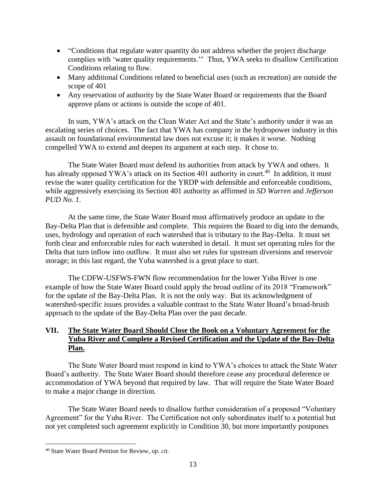- "Conditions that regulate water quantity do not address whether the project discharge complies with 'water quality requirements.'" Thus, YWA seeks to disallow Certification Conditions relating to flow.
- Many additional Conditions related to beneficial uses (such as recreation) are outside the scope of 401
- Any reservation of authority by the State Water Board or requirements that the Board approve plans or actions is outside the scope of 401.

In sum, YWA's attack on the Clean Water Act and the State's authority under it was an escalating series of choices. The fact that YWA has company in the hydropower industry in this assault on foundational environmental law does not excuse it; it makes it worse. Nothing compelled YWA to extend and deepen its argument at each step. It chose to.

The State Water Board must defend its authorities from attack by YWA and others. It has already opposed YWA's attack on its Section 401 authority in court.<sup>40</sup> In addition, it must revise the water quality certification for the YRDP with defensible and enforceable conditions, while aggressively exercising its Section 401 authority as affirmed in *SD Warren* and *Jefferson PUD No. 1*.

At the same time, the State Water Board must affirmatively produce an update to the Bay-Delta Plan that is defensible and complete. This requires the Board to dig into the demands, uses, hydrology and operation of each watershed that is tributary to the Bay-Delta. It must set forth clear and enforceable rules for each watershed in detail. It must set operating rules for the Delta that turn inflow into outflow. It must also set rules for upstream diversions and reservoir storage; in this last regard, the Yuba watershed is a great place to start.

The CDFW-USFWS-FWN flow recommendation for the lower Yuba River is one example of how the State Water Board could apply the broad outline of its 2018 "Framework" for the update of the Bay-Delta Plan. It is not the only way. But its acknowledgment of watershed-specific issues provides a valuable contrast to the State Water Board's broad-brush approach to the update of the Bay-Delta Plan over the past decade.

# **VII. The State Water Board Should Close the Book on a Voluntary Agreement for the Yuba River and Complete a Revised Certification and the Update of the Bay-Delta Plan.**

The State Water Board must respond in kind to YWA's choices to attack the State Water Board's authority. The State Water Board should therefore cease any procedural deference or accommodation of YWA beyond that required by law. That will require the State Water Board to make a major change in direction.

The State Water Board needs to disallow further consideration of a proposed "Voluntary Agreement" for the Yuba River. The Certification not only subordinates itself to a potential but not yet completed such agreement explicitly in Condition 30, but more importantly postpones

<sup>40</sup> State Water Board Petition for Review, *op. cit.*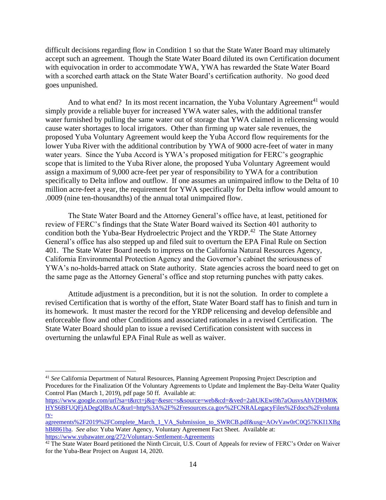difficult decisions regarding flow in Condition 1 so that the State Water Board may ultimately accept such an agreement. Though the State Water Board diluted its own Certification document with equivocation in order to accommodate YWA, YWA has rewarded the State Water Board with a scorched earth attack on the State Water Board's certification authority. No good deed goes unpunished.

And to what end? In its most recent incarnation, the Yuba Voluntary Agreement<sup>41</sup> would simply provide a reliable buyer for increased YWA water sales, with the additional transfer water furnished by pulling the same water out of storage that YWA claimed in relicensing would cause water shortages to local irrigators. Other than firming up water sale revenues, the proposed Yuba Voluntary Agreement would keep the Yuba Accord flow requirements for the lower Yuba River with the additional contribution by YWA of 9000 acre-feet of water in many water years. Since the Yuba Accord is YWA's proposed mitigation for FERC's geographic scope that is limited to the Yuba River alone, the proposed Yuba Voluntary Agreement would assign a maximum of 9,000 acre-feet per year of responsibility to YWA for a contribution specifically to Delta inflow and outflow. If one assumes an unimpaired inflow to the Delta of 10 million acre-feet a year, the requirement for YWA specifically for Delta inflow would amount to .0009 (nine ten-thousandths) of the annual total unimpaired flow.

The State Water Board and the Attorney General's office have, at least, petitioned for review of FERC's findings that the State Water Board waived its Section 401 authority to condition both the Yuba-Bear Hydroelectric Project and the YRDP.<sup>42</sup> The State Attorney General's office has also stepped up and filed suit to overturn the EPA Final Rule on Section 401. The State Water Board needs to impress on the California Natural Resources Agency, California Environmental Protection Agency and the Governor's cabinet the seriousness of YWA's no-holds-barred attack on State authority. State agencies across the board need to get on the same page as the Attorney General's office and stop returning punches with patty cakes.

Attitude adjustment is a precondition, but it is not the solution. In order to complete a revised Certification that is worthy of the effort, State Water Board staff has to finish and turn in its homework. It must master the record for the YRDP relicensing and develop defensible and enforceable flow and other Conditions and associated rationales in a revised Certification. The State Water Board should plan to issue a revised Certification consistent with success in overturning the unlawful EPA Final Rule as well as waiver.

<sup>41</sup> *See* California Department of Natural Resources, Planning Agreement Proposing Project Description and Procedures for the Finalization Of the Voluntary Agreements to Update and Implement the Bay-Delta Water Quality Control Plan (March 1, 2019), pdf page 50 ff. Available at:

[https://www.google.com/url?sa=t&rct=j&q=&esrc=s&source=web&cd=&ved=2ahUKEwi9h7aOusvsAhVDHM0K](https://www.google.com/url?sa=t&rct=j&q=&esrc=s&source=web&cd=&ved=2ahUKEwi9h7aOusvsAhVDHM0KHYS6BFUQFjADegQIBxAC&url=http%3A%2F%2Fresources.ca.gov%2FCNRALegacyFiles%2Fdocs%2Fvoluntary-agreements%2F2019%2FComplete_March_1_VA_Submission_to_SWRCB.pdf&usg=AOvVaw0rC0Q57KKI1XBghB8861ba) [HYS6BFUQFjADegQIBxAC&url=http%3A%2F%2Fresources.ca.gov%2FCNRALegacyFiles%2Fdocs%2Fvolunta](https://www.google.com/url?sa=t&rct=j&q=&esrc=s&source=web&cd=&ved=2ahUKEwi9h7aOusvsAhVDHM0KHYS6BFUQFjADegQIBxAC&url=http%3A%2F%2Fresources.ca.gov%2FCNRALegacyFiles%2Fdocs%2Fvoluntary-agreements%2F2019%2FComplete_March_1_VA_Submission_to_SWRCB.pdf&usg=AOvVaw0rC0Q57KKI1XBghB8861ba) [ry-](https://www.google.com/url?sa=t&rct=j&q=&esrc=s&source=web&cd=&ved=2ahUKEwi9h7aOusvsAhVDHM0KHYS6BFUQFjADegQIBxAC&url=http%3A%2F%2Fresources.ca.gov%2FCNRALegacyFiles%2Fdocs%2Fvoluntary-agreements%2F2019%2FComplete_March_1_VA_Submission_to_SWRCB.pdf&usg=AOvVaw0rC0Q57KKI1XBghB8861ba)

agreements%2F2019%2FComplete\_March\_1\_VA\_Submission\_to\_SWRCB.pdf&usg=AOvVaw0rC0O57KKI1XBg [hB8861ba.](https://www.google.com/url?sa=t&rct=j&q=&esrc=s&source=web&cd=&ved=2ahUKEwi9h7aOusvsAhVDHM0KHYS6BFUQFjADegQIBxAC&url=http%3A%2F%2Fresources.ca.gov%2FCNRALegacyFiles%2Fdocs%2Fvoluntary-agreements%2F2019%2FComplete_March_1_VA_Submission_to_SWRCB.pdf&usg=AOvVaw0rC0Q57KKI1XBghB8861ba) *See also*: Yuba Water Agency, Voluntary Agreement Fact Sheet. Available at: <https://www.yubawater.org/272/Voluntary-Settlement-Agreements>

 $42$  The State Water Board petitioned the Ninth Circuit, U.S. Court of Appeals for review of FERC's Order on Waiver for the Yuba-Bear Project on August 14, 2020.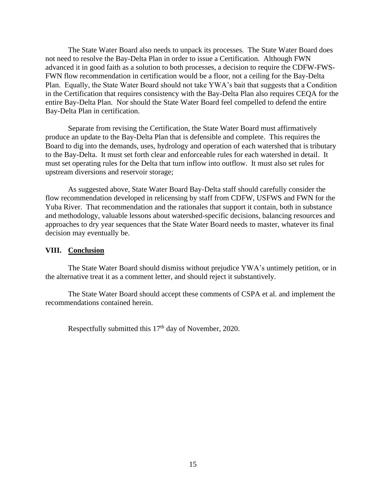The State Water Board also needs to unpack its processes. The State Water Board does not need to resolve the Bay-Delta Plan in order to issue a Certification. Although FWN advanced it in good faith as a solution to both processes, a decision to require the CDFW-FWS-FWN flow recommendation in certification would be a floor, not a ceiling for the Bay-Delta Plan. Equally, the State Water Board should not take YWA's bait that suggests that a Condition in the Certification that requires consistency with the Bay-Delta Plan also requires CEQA for the entire Bay-Delta Plan. Nor should the State Water Board feel compelled to defend the entire Bay-Delta Plan in certification.

Separate from revising the Certification, the State Water Board must affirmatively produce an update to the Bay-Delta Plan that is defensible and complete. This requires the Board to dig into the demands, uses, hydrology and operation of each watershed that is tributary to the Bay-Delta. It must set forth clear and enforceable rules for each watershed in detail. It must set operating rules for the Delta that turn inflow into outflow. It must also set rules for upstream diversions and reservoir storage;

As suggested above, State Water Board Bay-Delta staff should carefully consider the flow recommendation developed in relicensing by staff from CDFW, USFWS and FWN for the Yuba River. That recommendation and the rationales that support it contain, both in substance and methodology, valuable lessons about watershed-specific decisions, balancing resources and approaches to dry year sequences that the State Water Board needs to master, whatever its final decision may eventually be.

#### **VIII. Conclusion**

The State Water Board should dismiss without prejudice YWA's untimely petition, or in the alternative treat it as a comment letter, and should reject it substantively.

The State Water Board should accept these comments of CSPA et al. and implement the recommendations contained herein.

Respectfully submitted this 17<sup>th</sup> day of November, 2020.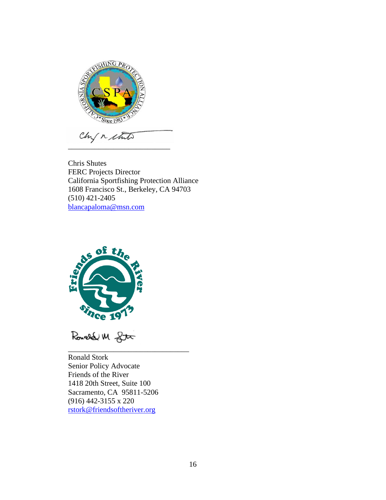

Chris Shutes FERC Projects Director California Sportfishing Protection Alliance 1608 Francisco St., Berkeley, CA 94703 (510) 421-2405 [blancapaloma@msn.com](mailto:blancapaloma@msn.com)



Rouald M gtx

Ronald Stork Senior Policy Advocate Friends of the River 1418 20th Street, Suite 100 Sacramento, CA 95811-5206 (916) 442-3155 x 220 [rstork@friendsoftheriver.org](mailto:rstork@friendsoftheriver.org)

\_\_\_\_\_\_\_\_\_\_\_\_\_\_\_\_\_\_\_\_\_\_\_\_\_\_\_\_\_\_\_\_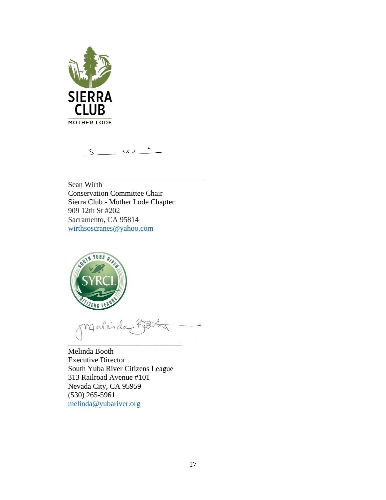

 $S$   $\omega$   $\sim$ 

\_\_\_\_\_\_\_\_\_\_\_\_\_\_\_\_\_\_\_\_\_\_\_\_\_\_\_\_\_\_\_\_\_\_\_\_

Sean Wirth Conservation Committee Chair Sierra Club - Mother Lode Chapter 909 12th St #202 Sacramento, CA 95814 [wirthsoscranes@yahoo.com](mailto:wirthsoscranes@yahoo.com)



melindo  $\sim$ 

Melinda Booth Executive Director South Yuba River Citizens League 313 Railroad Avenue #101 Nevada City, CA 95959 (530) 265-5961 [melinda@yubariver.org](mailto:melinda@yubariver.org)